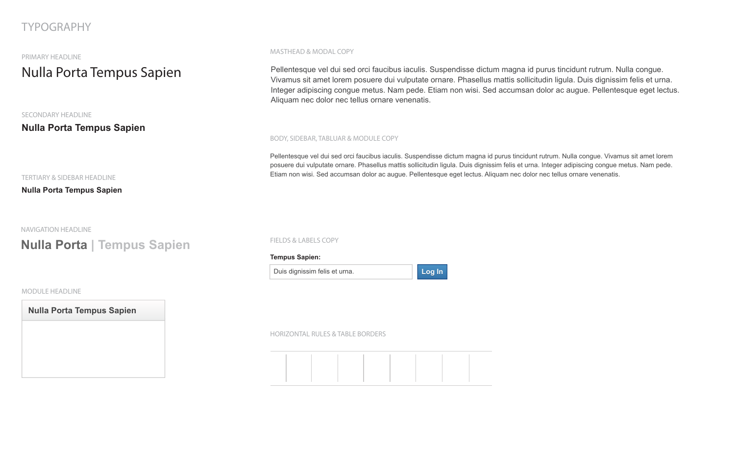# **Nulla Porta Tempus Sapien**

# TYPOGRAPHY

PRIMARY HEADLINE

#### SECONDARY HEADLINE

### **Nulla Porta Tempus Sapien**

#### TERTIARY & SIDEBAR HEADLINE

**Nulla Porta Tempus Sapien**

MODULE HEADLINE

NAVIGATION HEADLINE

#### MASTHEAD & MODAL COPY

#### BODY, SIDEBAR, TABLUAR & MODULE COPY

FIELDS & LABELS COPY

HORIZONTAL RULES & TABLE BORDERS

# **Nulla Porta | Tempus Sapien**

**Nulla Porta Tempus Sapien**

Pellentesque vel dui sed orci faucibus iaculis. Suspendisse dictum magna id purus tincidunt rutrum. Nulla congue. Vivamus sit amet lorem posuere dui vulputate ornare. Phasellus mattis sollicitudin ligula. Duis dignissim felis et urna. Integer adipiscing congue metus. Nam pede. Etiam non wisi. Sed accumsan dolor ac augue. Pellentesque eget lectus. Aliquam nec dolor nec tellus ornare venenatis.

Pellentesque vel dui sed orci faucibus iaculis. Suspendisse dictum magna id purus tincidunt rutrum. Nulla congue. Vivamus sit amet lorem posuere dui vulputate ornare. Phasellus mattis sollicitudin ligula. Duis dignissim felis et urna. Integer adipiscing congue metus. Nam pede. Etiam non wisi. Sed accumsan dolor ac augue. Pellentesque eget lectus. Aliquam nec dolor nec tellus ornare venenatis.

Duis dignissim felis et urna.

#### **Tempus Sapien:**

**Log In Log In**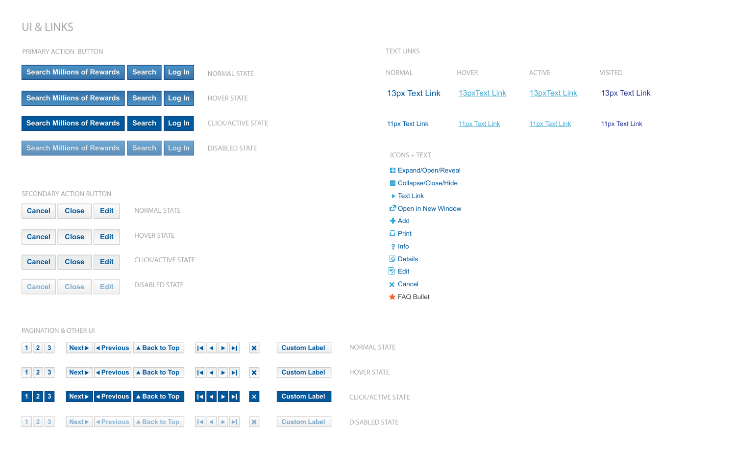# UI & LINKS

#### PAGINATION & OTHER UI



| 'IVE | <b>VISITED</b> |
|------|----------------|
|      |                |

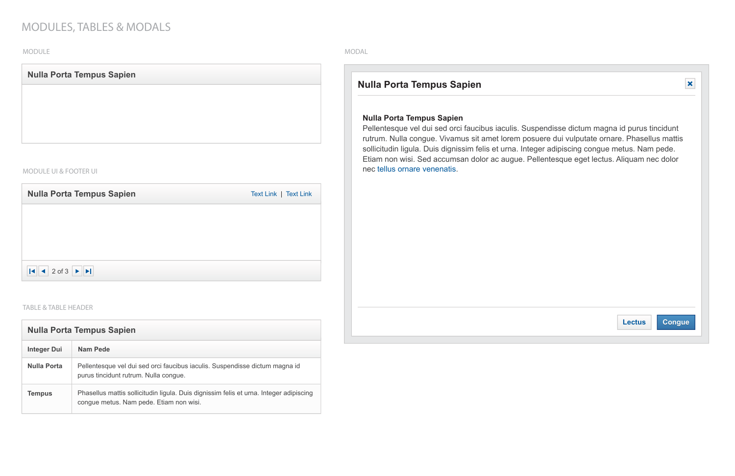### MODULES, TABLES & MODALS

#### MODAL

### **Nulla Porta Tempus Sapien**

Pellentesque vel dui sed orci faucibus iaculis. Suspendisse dictum magna id purus tincidunt rutrum. Nulla congue. Vivamus sit amet lorem posuere dui vulputate ornare. Phasellus mattis sollicitudin ligula. Duis dignissim felis et urna. Integer adipiscing congue metus. Nam pede. Etiam non wisi. Sed accumsan dolor ac augue. Pellentesque eget lectus. Aliquam nec dolor nec tellus ornare venenatis.

### **Nulla Porta Tempus Sapien**



#### MODULE

#### TABLE & TABLE HEADER

| <b>Nulla Porta Tempus Sapien</b> |                       |
|----------------------------------|-----------------------|
|                                  |                       |
|                                  |                       |
|                                  |                       |
|                                  |                       |
| <b>MODULE UI &amp; FOOTER UI</b> |                       |
| <b>Nulla Porta Tempus Sapien</b> | Text Link   Text Link |
|                                  |                       |
|                                  |                       |

| <b>Nulla Porta Tempus Sapien</b> |                                                                                                                                   |  |  |
|----------------------------------|-----------------------------------------------------------------------------------------------------------------------------------|--|--|
| <b>Integer Dui</b>               | Nam Pede                                                                                                                          |  |  |
| Nulla Porta                      | Pellentesque vel dui sed orci faucibus iaculis. Suspendisse dictum magna id<br>purus tincidunt rutrum. Nulla congue.              |  |  |
| <b>Tempus</b>                    | Phasellus mattis sollicitudin ligula. Duis dignissim felis et urna. Integer adipiscing<br>congue metus. Nam pede. Etiam non wisi. |  |  |

2 of 3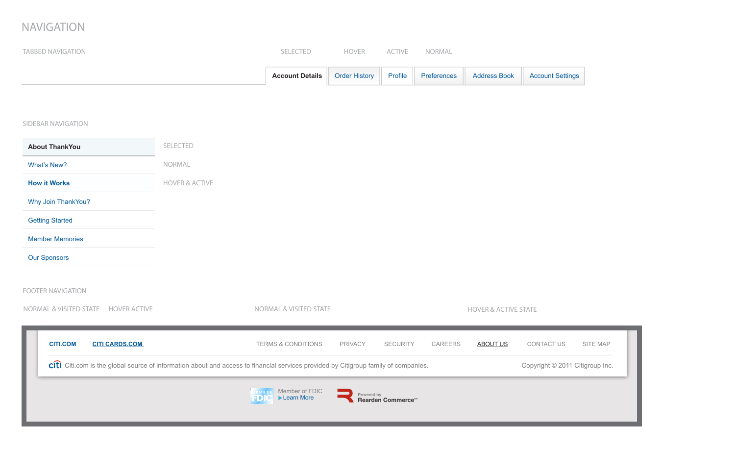## NAVIGATION

| <b>TABBED NAVIGATION</b>                                                                                                                                              |                           | SELECTED                                     | <b>HOVER</b>         | ACTIVE                                      | NORMAL      |                                 |                         |          |
|-----------------------------------------------------------------------------------------------------------------------------------------------------------------------|---------------------------|----------------------------------------------|----------------------|---------------------------------------------|-------------|---------------------------------|-------------------------|----------|
|                                                                                                                                                                       |                           | <b>Account Details</b>                       | <b>Order History</b> | Profile                                     | Preferences | <b>Address Book</b>             | <b>Account Settings</b> |          |
|                                                                                                                                                                       |                           |                                              |                      |                                             |             |                                 |                         |          |
| <b>SIDEBAR NAVIGATION</b>                                                                                                                                             |                           |                                              |                      |                                             |             |                                 |                         |          |
| <b>About ThankYou</b>                                                                                                                                                 | SELECTED                  |                                              |                      |                                             |             |                                 |                         |          |
| What's New?                                                                                                                                                           | NORMAL                    |                                              |                      |                                             |             |                                 |                         |          |
| <b>How it Works</b>                                                                                                                                                   | <b>HOVER &amp; ACTIVE</b> |                                              |                      |                                             |             |                                 |                         |          |
| Why Join ThankYou?                                                                                                                                                    |                           |                                              |                      |                                             |             |                                 |                         |          |
| <b>Getting Started</b>                                                                                                                                                |                           |                                              |                      |                                             |             |                                 |                         |          |
| <b>Member Memories</b>                                                                                                                                                |                           |                                              |                      |                                             |             |                                 |                         |          |
| <b>Our Sponsors</b>                                                                                                                                                   |                           |                                              |                      |                                             |             |                                 |                         |          |
| <b>FOOTER NAVIGATION</b>                                                                                                                                              |                           |                                              |                      |                                             |             |                                 |                         |          |
| NORMAL & VISITED STATE HOVER ACTIVE                                                                                                                                   |                           | <b>NORMAL &amp; VISITED STATE</b>            |                      |                                             |             | <b>HOVER &amp; ACTIVE STATE</b> |                         |          |
| <b>CITI.COM</b><br><b>CITI CARDS.COM</b>                                                                                                                              |                           | <b>TERMS &amp; CONDITIONS</b>                | PRIVACY              | <b>SECURITY</b>                             | CAREERS     | <b>ABOUT US</b>                 | CONTACT US              | SITE MAP |
| citi Citi.com is the global source of information about and access to financial services provided by Citigroup family of companies.<br>Copyright © 2011 Citigroup Ind |                           |                                              |                      |                                             |             |                                 |                         |          |
|                                                                                                                                                                       |                           | Member of FDIC<br>EMBER<br>Learn More<br>FDI |                      | Powered by<br>Rearden Commerce <sup>™</sup> |             |                                 |                         |          |
|                                                                                                                                                                       |                           |                                              |                      |                                             |             |                                 |                         |          |

right © 2011 Citigroup Inc.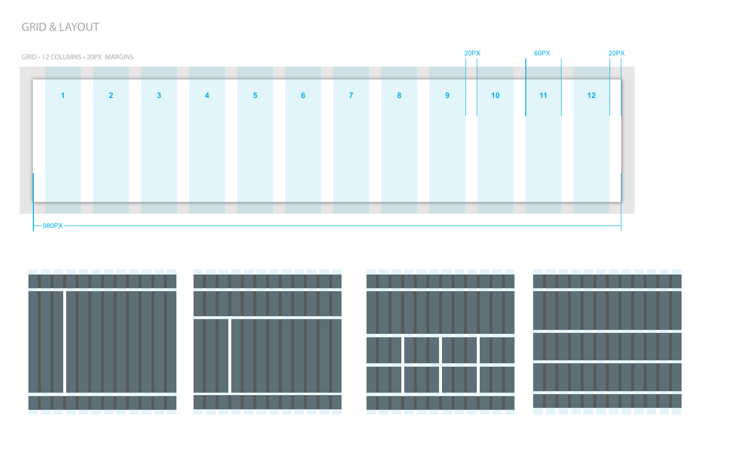# GRID & LAYOUT

GRID • 12 COLUMNS • 20PX MARGINS **1 2 3 4 5 6 7 8 9 10 11 12**  $-980PX -$